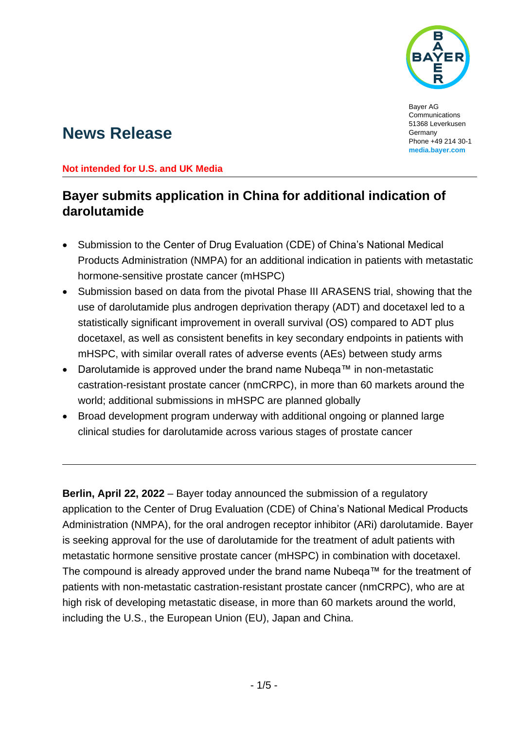

Bayer AG **Communications** 51368 Leverkusen Germany Phone +49 214 30-1 **[media.bayer.com](http://media.bayer.com/)**

# **News Release**

### **Not intended for U.S. and UK Media**

# **Bayer submits application in China for additional indication of darolutamide**

- Submission to the Center of Drug Evaluation (CDE) of China's National Medical Products Administration (NMPA) for an additional indication in patients with metastatic hormone-sensitive prostate cancer (mHSPC)
- Submission based on data from the pivotal Phase III ARASENS trial, showing that the use of darolutamide plus androgen deprivation therapy (ADT) and docetaxel led to a statistically significant improvement in overall survival (OS) compared to ADT plus docetaxel, as well as consistent benefits in key secondary endpoints in patients with mHSPC, with similar overall rates of adverse events (AEs) between study arms
- Darolutamide is approved under the brand name Nubeqa™ in non-metastatic castration-resistant prostate cancer (nmCRPC), in more than 60 markets around the world; additional submissions in mHSPC are planned globally
- Broad development program underway with additional ongoing or planned large clinical studies for darolutamide across various stages of prostate cancer

**Berlin, April 22, 2022** – Bayer today announced the submission of a regulatory application to the Center of Drug Evaluation (CDE) of China's National Medical Products Administration (NMPA), for the oral androgen receptor inhibitor (ARi) darolutamide. Bayer is seeking approval for the use of darolutamide for the treatment of adult patients with metastatic hormone sensitive prostate cancer (mHSPC) in combination with docetaxel. The compound is already approved under the brand name Nubeqa™ for the treatment of patients with non-metastatic castration-resistant prostate cancer (nmCRPC), who are at high risk of developing metastatic disease, in more than 60 markets around the world, including the U.S., the European Union (EU), Japan and China.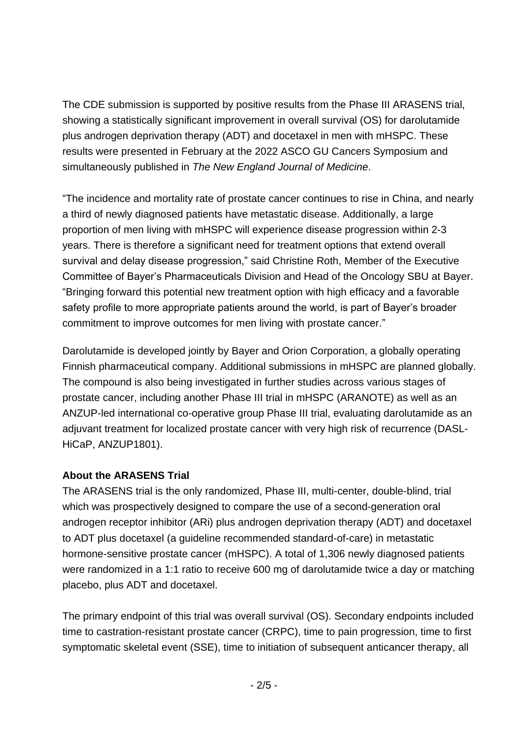The CDE submission is supported by positive results from the Phase III ARASENS trial, showing a statistically significant improvement in overall survival (OS) for darolutamide plus androgen deprivation therapy (ADT) and docetaxel in men with mHSPC. These results were presented in February at the 2022 ASCO GU Cancers Symposium and simultaneously published in *The New England Journal of Medicine*.

"The incidence and mortality rate of prostate cancer continues to rise in China, and nearly a third of newly diagnosed patients have metastatic disease. Additionally, a large proportion of men living with mHSPC will experience disease progression within 2-3 years. There is therefore a significant need for treatment options that extend overall survival and delay disease progression," said Christine Roth, Member of the Executive Committee of Bayer's Pharmaceuticals Division and Head of the Oncology SBU at Bayer. "Bringing forward this potential new treatment option with high efficacy and a favorable safety profile to more appropriate patients around the world, is part of Bayer's broader commitment to improve outcomes for men living with prostate cancer."

Darolutamide is developed jointly by Bayer and Orion Corporation, a globally operating Finnish pharmaceutical company. Additional submissions in mHSPC are planned globally. The compound is also being investigated in further studies across various stages of prostate cancer, including another Phase III trial in mHSPC (ARANOTE) as well as an ANZUP-led international co-operative group Phase III trial, evaluating darolutamide as an adjuvant treatment for localized prostate cancer with very high risk of recurrence (DASL-HiCaP, ANZUP1801).

# **About the ARASENS Trial**

The ARASENS trial is the only randomized, Phase III, multi-center, double-blind, trial which was prospectively designed to compare the use of a second-generation oral androgen receptor inhibitor (ARi) plus androgen deprivation therapy (ADT) and docetaxel to ADT plus docetaxel (a guideline recommended standard-of-care) in metastatic hormone-sensitive prostate cancer (mHSPC). A total of 1,306 newly diagnosed patients were randomized in a 1:1 ratio to receive 600 mg of darolutamide twice a day or matching placebo, plus ADT and docetaxel.

The primary endpoint of this trial was overall survival (OS). Secondary endpoints included time to castration-resistant prostate cancer (CRPC), time to pain progression, time to first symptomatic skeletal event (SSE), time to initiation of subsequent anticancer therapy, all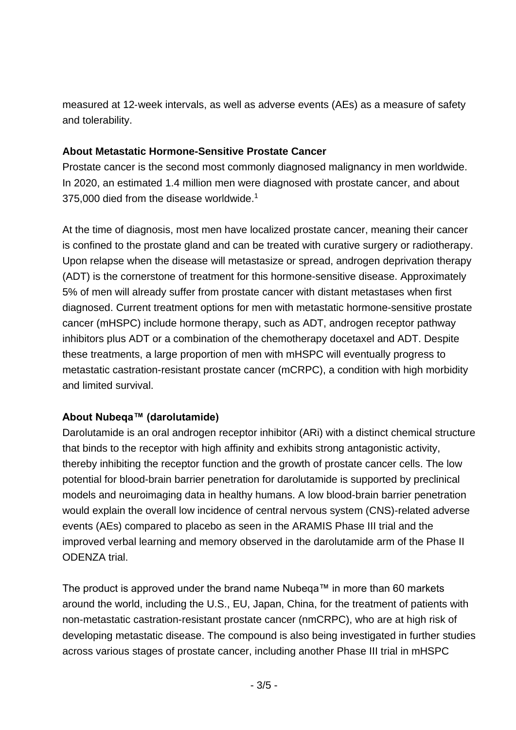measured at 12‐week intervals, as well as adverse events (AEs) as a measure of safety and tolerability.

# **About Metastatic Hormone-Sensitive Prostate Cancer**

Prostate cancer is the second most commonly diagnosed malignancy in men worldwide. In 2020, an estimated 1.4 million men were diagnosed with prostate cancer, and about 375,000 died from the disease worldwide.<sup>1</sup>

At the time of diagnosis, most men have localized prostate cancer, meaning their cancer is confined to the prostate gland and can be treated with curative surgery or radiotherapy. Upon relapse when the disease will metastasize or spread, androgen deprivation therapy (ADT) is the cornerstone of treatment for this hormone-sensitive disease. Approximately 5% of men will already suffer from prostate cancer with distant metastases when first diagnosed. Current treatment options for men with metastatic hormone-sensitive prostate cancer (mHSPC) include hormone therapy, such as ADT, androgen receptor pathway inhibitors plus ADT or a combination of the chemotherapy docetaxel and ADT. Despite these treatments, a large proportion of men with mHSPC will eventually progress to metastatic castration-resistant prostate cancer (mCRPC), a condition with high morbidity and limited survival.

# **About Nubeqa™ (darolutamide)**

Darolutamide is an oral androgen receptor inhibitor (ARi) with a distinct chemical structure that binds to the receptor with high affinity and exhibits strong antagonistic activity, thereby inhibiting the receptor function and the growth of prostate cancer cells. The low potential for blood-brain barrier penetration for darolutamide is supported by preclinical models and neuroimaging data in healthy humans. A low blood-brain barrier penetration would explain the overall low incidence of central nervous system (CNS)-related adverse events (AEs) compared to placebo as seen in the ARAMIS Phase III trial and the improved verbal learning and memory observed in the darolutamide arm of the Phase II ODENZA trial.

The product is approved under the brand name Nubeqa™ in more than 60 markets around the world, including the U.S., EU, Japan, China, for the treatment of patients with non-metastatic castration-resistant prostate cancer (nmCRPC), who are at high risk of developing metastatic disease. The compound is also being investigated in further studies across various stages of prostate cancer, including another Phase III trial in mHSPC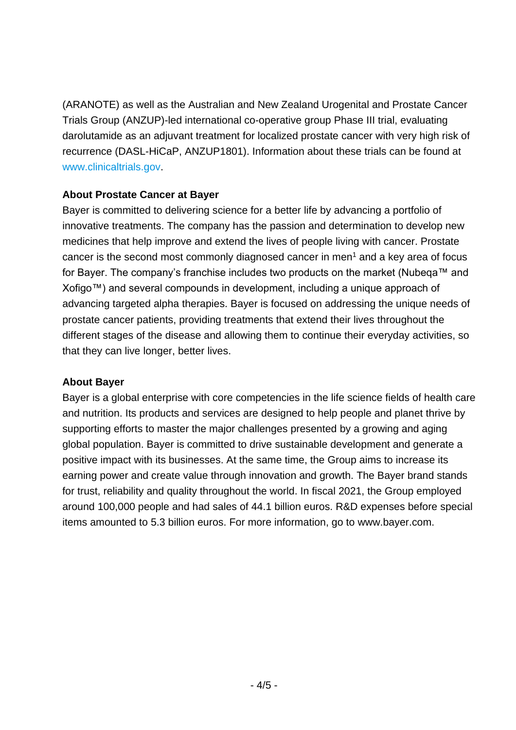(ARANOTE) as well as the Australian and New Zealand Urogenital and Prostate Cancer Trials Group (ANZUP)-led international co-operative group Phase III trial, evaluating darolutamide as an adjuvant treatment for localized prostate cancer with very high risk of recurrence (DASL-HiCaP, ANZUP1801). Information about these trials can be found at [www.clinicaltrials.gov.](https://www.clinicaltrials.gov/)

## **About Prostate Cancer at Bayer**

Bayer is committed to delivering science for a better life by advancing a portfolio of innovative treatments. The company has the passion and determination to develop new medicines that help improve and extend the lives of people living with cancer. Prostate cancer is the second most commonly diagnosed cancer in men<sup>1</sup> and a key area of focus for Bayer. The company's franchise includes two products on the market (Nubeqa™ and Xofigo™) and several compounds in development, including a unique approach of advancing targeted alpha therapies. Bayer is focused on addressing the unique needs of prostate cancer patients, providing treatments that extend their lives throughout the different stages of the disease and allowing them to continue their everyday activities, so that they can live longer, better lives.

### **About Bayer**

Bayer is a global enterprise with core competencies in the life science fields of health care and nutrition. Its products and services are designed to help people and planet thrive by supporting efforts to master the major challenges presented by a growing and aging global population. Bayer is committed to drive sustainable development and generate a positive impact with its businesses. At the same time, the Group aims to increase its earning power and create value through innovation and growth. The Bayer brand stands for trust, reliability and quality throughout the world. In fiscal 2021, the Group employed around 100,000 people and had sales of 44.1 billion euros. R&D expenses before special items amounted to 5.3 billion euros. For more information, go to [www.bayer.com.](http://www.bayer.com/)